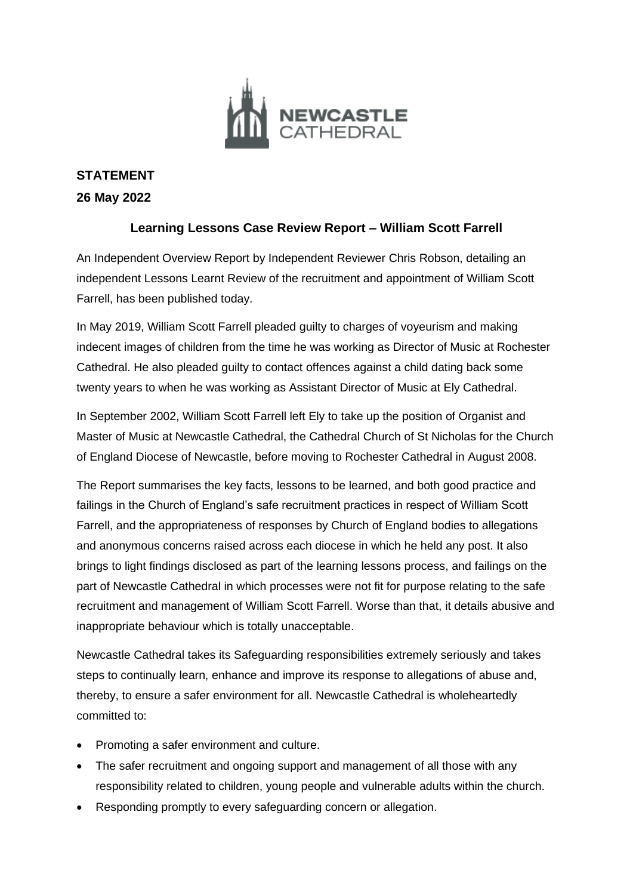

# **STATEMENT 26 May 2022**

# **Learning Lessons Case Review Report – William Scott Farrell**

An Independent Overview Report by Independent Reviewer Chris Robson, detailing an independent Lessons Learnt Review of the recruitment and appointment of William Scott Farrell, has been published today.

In May 2019, William Scott Farrell pleaded guilty to charges of voyeurism and making indecent images of children from the time he was working as Director of Music at Rochester Cathedral. He also pleaded guilty to contact offences against a child dating back some twenty years to when he was working as Assistant Director of Music at Ely Cathedral.

In September 2002, William Scott Farrell left Ely to take up the position of Organist and Master of Music at Newcastle Cathedral, the Cathedral Church of St Nicholas for the Church of England Diocese of Newcastle, before moving to Rochester Cathedral in August 2008.

The Report summarises the key facts, lessons to be learned, and both good practice and failings in the Church of England's safe recruitment practices in respect of William Scott Farrell, and the appropriateness of responses by Church of England bodies to allegations and anonymous concerns raised across each diocese in which he held any post. It also brings to light findings disclosed as part of the learning lessons process, and failings on the part of Newcastle Cathedral in which processes were not fit for purpose relating to the safe recruitment and management of William Scott Farrell. Worse than that, it details abusive and inappropriate behaviour which is totally unacceptable.

Newcastle Cathedral takes its Safeguarding responsibilities extremely seriously and takes steps to continually learn, enhance and improve its response to allegations of abuse and, thereby, to ensure a safer environment for all. Newcastle Cathedral is wholeheartedly committed to:

- Promoting a safer environment and culture.
- The safer recruitment and ongoing support and management of all those with any responsibility related to children, young people and vulnerable adults within the church.
- Responding promptly to every safeguarding concern or allegation.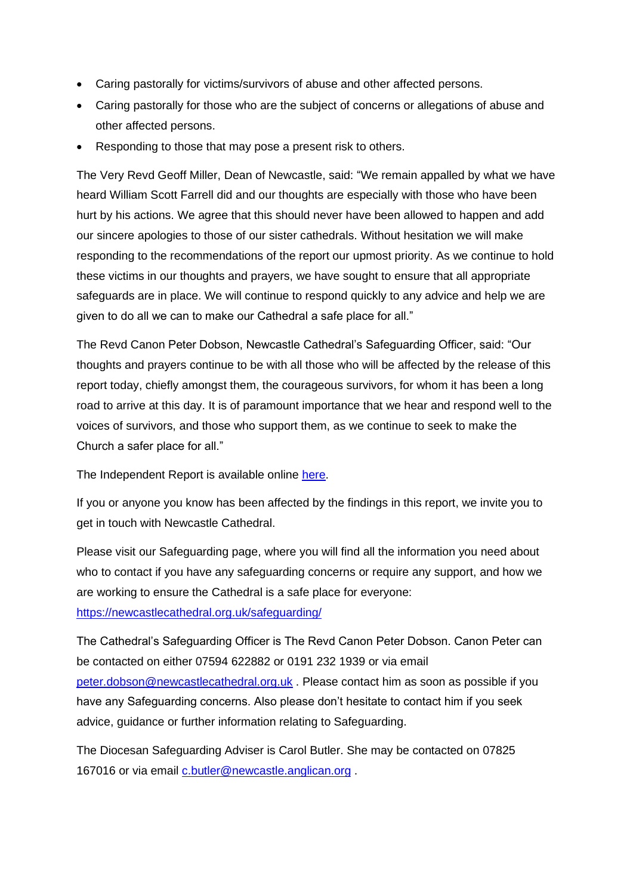- Caring pastorally for victims/survivors of abuse and other affected persons.
- Caring pastorally for those who are the subject of concerns or allegations of abuse and other affected persons.
- Responding to those that may pose a present risk to others.

The Very Revd Geoff Miller, Dean of Newcastle, said: "We remain appalled by what we have heard William Scott Farrell did and our thoughts are especially with those who have been hurt by his actions. We agree that this should never have been allowed to happen and add our sincere apologies to those of our sister cathedrals. Without hesitation we will make responding to the recommendations of the report our upmost priority. As we continue to hold these victims in our thoughts and prayers, we have sought to ensure that all appropriate safeguards are in place. We will continue to respond quickly to any advice and help we are given to do all we can to make our Cathedral a safe place for all."

The Revd Canon Peter Dobson, Newcastle Cathedral's Safeguarding Officer, said: "Our thoughts and prayers continue to be with all those who will be affected by the release of this report today, chiefly amongst them, the courageous survivors, for whom it has been a long road to arrive at this day. It is of paramount importance that we hear and respond well to the voices of survivors, and those who support them, as we continue to seek to make the Church a safer place for all."

The Independent Report is available online [here.](https://newcastlecathedral.org.uk/wp-content/uploads/2022/05/Independent-Overview-Report_WSF-Lessons-Learned_May2022.pdf)

If you or anyone you know has been affected by the findings in this report, we invite you to get in touch with Newcastle Cathedral.

Please visit our Safeguarding page, where you will find all the information you need about who to contact if you have any safeguarding concerns or require any support, and how we are working to ensure the Cathedral is a safe place for everyone:

<https://newcastlecathedral.org.uk/safeguarding/>

The Cathedral's Safeguarding Officer is The Revd Canon Peter Dobson. Canon Peter can be contacted on either 07594 622882 or 0191 232 1939 or via email [peter.dobson@newcastlecathedral.org.uk](mailto:peter.dobson@newcastlecathedral.org.uk) . Please contact him as soon as possible if you have any Safeguarding concerns. Also please don't hesitate to contact him if you seek advice, guidance or further information relating to Safeguarding.

The Diocesan Safeguarding Adviser is Carol Butler. She may be contacted on 07825 167016 or via email [c.butler@newcastle.anglican.org](mailto:c.butler@newcastle.anglican.org).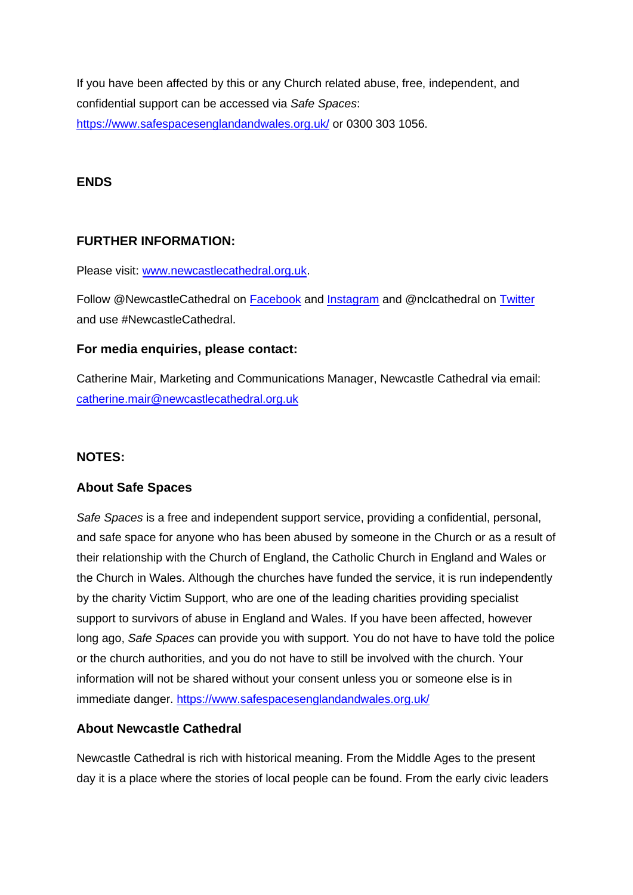If you have been affected by this or any Church related abuse, free, independent, and confidential support can be accessed via *Safe Spaces*: <https://www.safespacesenglandandwales.org.uk/> or 0300 303 1056.

#### **ENDS**

# **FURTHER INFORMATION:**

Please visit: [www.newcastlecathedral.org.uk.](http://www.newcastlecathedral.org.uk/)

Follow @NewcastleCathedral on [Facebook](https://www.facebook.com/NewcastleCathedral/) and [Instagram](https://www.instagram.com/newcastlecathedral/) and @nclcathedral on [Twitter](https://twitter.com/nclcathedral) and use #NewcastleCathedral.

#### **For media enquiries, please contact:**

Catherine Mair, Marketing and Communications Manager, Newcastle Cathedral via email: [catherine.mair@newcastlecathedral.org.uk](mailto:catherine.mair@newcastlecathedral.org.uk)

# **NOTES:**

# **About Safe Spaces**

*Safe Spaces* is a free and independent support service, providing a confidential, personal, and safe space for anyone who has been abused by someone in the Church or as a result of their relationship with the Church of England, the Catholic Church in England and Wales or the Church in Wales. Although the churches have funded the service, it is run independently by the charity Victim Support, who are one of the leading charities providing specialist support to survivors of abuse in England and Wales. If you have been affected, however long ago, *Safe Spaces* can provide you with support. You do not have to have told the police or the church authorities, and you do not have to still be involved with the church. Your information will not be shared without your consent unless you or someone else is in immediate danger. <https://www.safespacesenglandandwales.org.uk/>

# **About Newcastle Cathedral**

Newcastle Cathedral is rich with historical meaning. From the Middle Ages to the present day it is a place where the stories of local people can be found. From the early civic leaders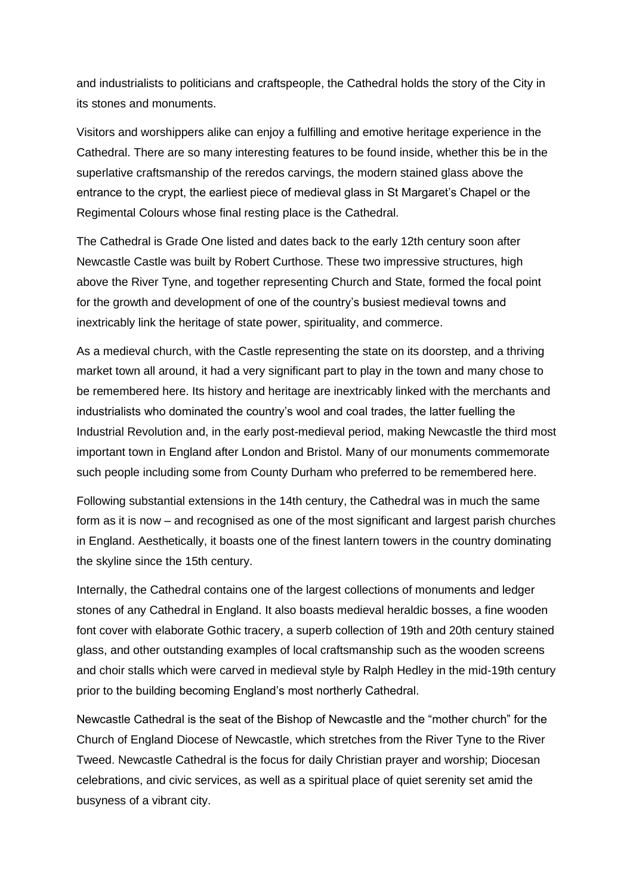and industrialists to politicians and craftspeople, the Cathedral holds the story of the City in its stones and monuments.

Visitors and worshippers alike can enjoy a fulfilling and emotive heritage experience in the Cathedral. There are so many interesting features to be found inside, whether this be in the superlative craftsmanship of the reredos carvings, the modern stained glass above the entrance to the crypt, the earliest piece of medieval glass in St Margaret's Chapel or the Regimental Colours whose final resting place is the Cathedral.

The Cathedral is Grade One listed and dates back to the early 12th century soon after Newcastle Castle was built by Robert Curthose. These two impressive structures, high above the River Tyne, and together representing Church and State, formed the focal point for the growth and development of one of the country's busiest medieval towns and inextricably link the heritage of state power, spirituality, and commerce.

As a medieval church, with the Castle representing the state on its doorstep, and a thriving market town all around, it had a very significant part to play in the town and many chose to be remembered here. Its history and heritage are inextricably linked with the merchants and industrialists who dominated the country's wool and coal trades, the latter fuelling the Industrial Revolution and, in the early post-medieval period, making Newcastle the third most important town in England after London and Bristol. Many of our monuments commemorate such people including some from County Durham who preferred to be remembered here.

Following substantial extensions in the 14th century, the Cathedral was in much the same form as it is now – and recognised as one of the most significant and largest parish churches in England. Aesthetically, it boasts one of the finest lantern towers in the country dominating the skyline since the 15th century.

Internally, the Cathedral contains one of the largest collections of monuments and ledger stones of any Cathedral in England. It also boasts medieval heraldic bosses, a fine wooden font cover with elaborate Gothic tracery, a superb collection of 19th and 20th century stained glass, and other outstanding examples of local craftsmanship such as the wooden screens and choir stalls which were carved in medieval style by Ralph Hedley in the mid-19th century prior to the building becoming England's most northerly Cathedral.

Newcastle Cathedral is the seat of the Bishop of Newcastle and the "mother church" for the Church of England Diocese of Newcastle, which stretches from the River Tyne to the River Tweed. Newcastle Cathedral is the focus for daily Christian prayer and worship; Diocesan celebrations, and civic services, as well as a spiritual place of quiet serenity set amid the busyness of a vibrant city.